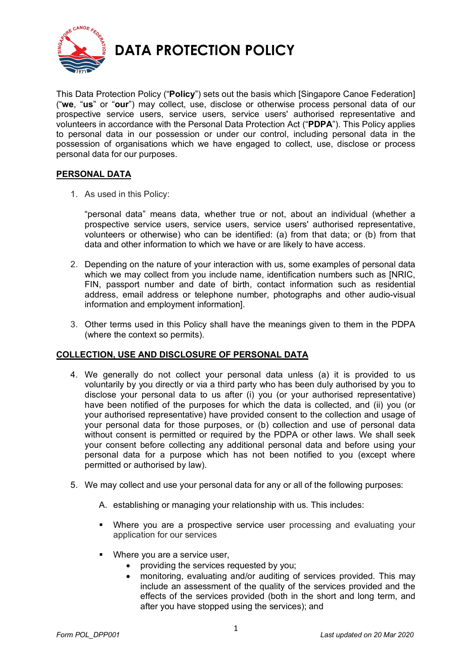

**DATA PROTECTION POLICY**

This Data Protection Policy ("**Policy**") sets out the basis which [Singapore Canoe Federation] ("**we**, "**us**" or "**our**") may collect, use, disclose or otherwise process personal data of our prospective service users, service users, service users' authorised representative and volunteers in accordance with the Personal Data Protection Act ("**PDPA**"). This Policy applies to personal data in our possession or under our control, including personal data in the possession of organisations which we have engaged to collect, use, disclose or process personal data for our purposes.

# **PERSONAL DATA**

1. As used in this Policy:

"personal data" means data, whether true or not, about an individual (whether a prospective service users, service users, service users' authorised representative, volunteers or otherwise) who can be identified: (a) from that data; or (b) from that data and other information to which we have or are likely to have access.

- 2. Depending on the nature of your interaction with us, some examples of personal data which we may collect from you include name, identification numbers such as INRIC. FIN, passport number and date of birth, contact information such as residential address, email address or telephone number, photographs and other audio-visual information and employment information].
- 3. Other terms used in this Policy shall have the meanings given to them in the PDPA (where the context so permits).

# **COLLECTION, USE AND DISCLOSURE OF PERSONAL DATA**

- 4. We generally do not collect your personal data unless (a) it is provided to us voluntarily by you directly or via a third party who has been duly authorised by you to disclose your personal data to us after (i) you (or your authorised representative) have been notified of the purposes for which the data is collected, and (ii) you (or your authorised representative) have provided consent to the collection and usage of your personal data for those purposes, or (b) collection and use of personal data without consent is permitted or required by the PDPA or other laws. We shall seek your consent before collecting any additional personal data and before using your personal data for a purpose which has not been notified to you (except where permitted or authorised by law).
- 5. We may collect and use your personal data for any or all of the following purposes:
	- A. establishing or managing your relationship with us. This includes:
	- § Where you are a prospective service user processing and evaluating your application for our services
	- Where you are a service user,
		- providing the services requested by you;
		- monitoring, evaluating and/or auditing of services provided. This may include an assessment of the quality of the services provided and the effects of the services provided (both in the short and long term, and after you have stopped using the services); and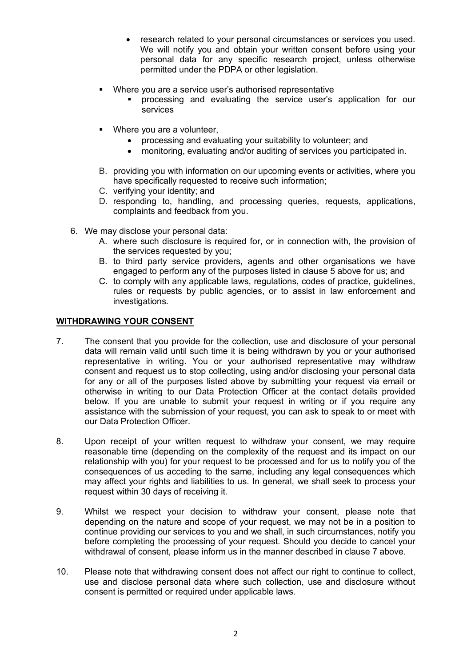- research related to your personal circumstances or services you used. We will notify you and obtain your written consent before using your personal data for any specific research project, unless otherwise permitted under the PDPA or other legislation.
- Where you are a service user's authorised representative
	- § processing and evaluating the service user's application for our services
- Where you are a volunteer.
	- processing and evaluating your suitability to volunteer; and
	- monitoring, evaluating and/or auditing of services you participated in.
- B. providing you with information on our upcoming events or activities, where you have specifically requested to receive such information;
- C. verifying your identity; and
- D. responding to, handling, and processing queries, requests, applications, complaints and feedback from you.
- 6. We may disclose your personal data:
	- A. where such disclosure is required for, or in connection with, the provision of the services requested by you;
	- B. to third party service providers, agents and other organisations we have engaged to perform any of the purposes listed in clause 5 above for us; and
	- C. to comply with any applicable laws, regulations, codes of practice, guidelines, rules or requests by public agencies, or to assist in law enforcement and investigations.

#### **WITHDRAWING YOUR CONSENT**

- 7. The consent that you provide for the collection, use and disclosure of your personal data will remain valid until such time it is being withdrawn by you or your authorised representative in writing. You or your authorised representative may withdraw consent and request us to stop collecting, using and/or disclosing your personal data for any or all of the purposes listed above by submitting your request via email or otherwise in writing to our Data Protection Officer at the contact details provided below. If you are unable to submit your request in writing or if you require any assistance with the submission of your request, you can ask to speak to or meet with our Data Protection Officer.
- 8. Upon receipt of your written request to withdraw your consent, we may require reasonable time (depending on the complexity of the request and its impact on our relationship with you) for your request to be processed and for us to notify you of the consequences of us acceding to the same, including any legal consequences which may affect your rights and liabilities to us. In general, we shall seek to process your request within 30 days of receiving it.
- 9. Whilst we respect your decision to withdraw your consent, please note that depending on the nature and scope of your request, we may not be in a position to continue providing our services to you and we shall, in such circumstances, notify you before completing the processing of your request. Should you decide to cancel your withdrawal of consent, please inform us in the manner described in clause 7 above.
- 10. Please note that withdrawing consent does not affect our right to continue to collect, use and disclose personal data where such collection, use and disclosure without consent is permitted or required under applicable laws.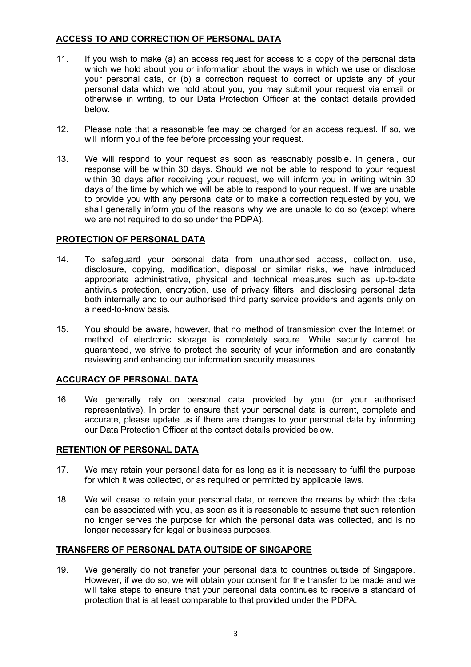### **ACCESS TO AND CORRECTION OF PERSONAL DATA**

- 11. If you wish to make (a) an access request for access to a copy of the personal data which we hold about you or information about the ways in which we use or disclose your personal data, or (b) a correction request to correct or update any of your personal data which we hold about you, you may submit your request via email or otherwise in writing, to our Data Protection Officer at the contact details provided below.
- 12. Please note that a reasonable fee may be charged for an access request. If so, we will inform you of the fee before processing your request.
- 13. We will respond to your request as soon as reasonably possible. In general, our response will be within 30 days. Should we not be able to respond to your request within 30 days after receiving your request, we will inform you in writing within 30 days of the time by which we will be able to respond to your request. If we are unable to provide you with any personal data or to make a correction requested by you, we shall generally inform you of the reasons why we are unable to do so (except where we are not required to do so under the PDPA).

### **PROTECTION OF PERSONAL DATA**

- 14. To safeguard your personal data from unauthorised access, collection, use, disclosure, copying, modification, disposal or similar risks, we have introduced appropriate administrative, physical and technical measures such as up-to-date antivirus protection, encryption, use of privacy filters, and disclosing personal data both internally and to our authorised third party service providers and agents only on a need-to-know basis.
- 15. You should be aware, however, that no method of transmission over the Internet or method of electronic storage is completely secure. While security cannot be guaranteed, we strive to protect the security of your information and are constantly reviewing and enhancing our information security measures.

# **ACCURACY OF PERSONAL DATA**

16. We generally rely on personal data provided by you (or your authorised representative). In order to ensure that your personal data is current, complete and accurate, please update us if there are changes to your personal data by informing our Data Protection Officer at the contact details provided below.

#### **RETENTION OF PERSONAL DATA**

- 17. We may retain your personal data for as long as it is necessary to fulfil the purpose for which it was collected, or as required or permitted by applicable laws.
- 18. We will cease to retain your personal data, or remove the means by which the data can be associated with you, as soon as it is reasonable to assume that such retention no longer serves the purpose for which the personal data was collected, and is no longer necessary for legal or business purposes.

# **TRANSFERS OF PERSONAL DATA OUTSIDE OF SINGAPORE**

19. We generally do not transfer your personal data to countries outside of Singapore. However, if we do so, we will obtain your consent for the transfer to be made and we will take steps to ensure that your personal data continues to receive a standard of protection that is at least comparable to that provided under the PDPA.